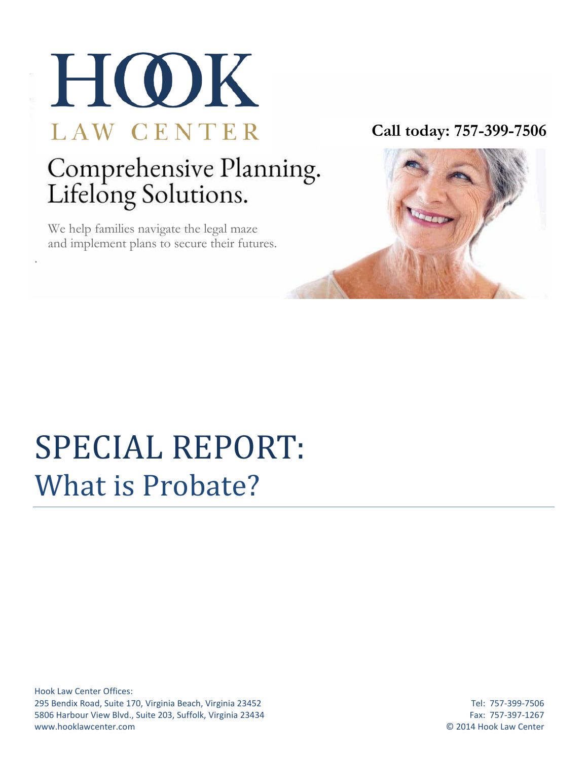

# Comprehensive Planning.<br>Lifelong Solutions.

 We help families navigate the legal maze and implement plans to secure their futures.

.

**Call today: 757-399-7506**



## SPECIAL REPORT: What is Probate?

Hook Law Center Offices: 295 Bendix Road, Suite 170, Virginia Beach, Virginia 23452 Tel: 757-399-7506 5806 Harbour View Blvd., Suite 203, Suffolk, Virginia 23434 Fax: 757-397-1267 www.hooklawcenter.com © 2014 Hook Law Center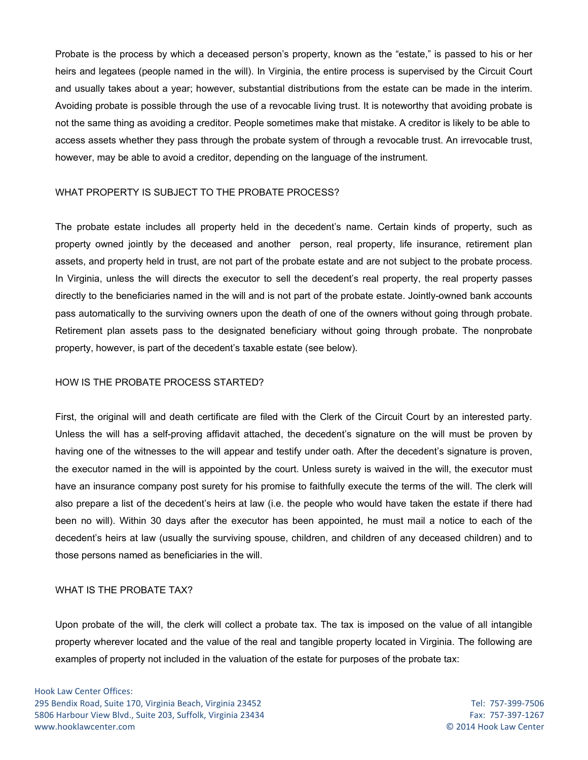Probate is the process by which a deceased person's property, known as the "estate," is passed to his or her heirs and legatees (people named in the will). In Virginia, the entire process is supervised by the Circuit Court and usually takes about a year; however, substantial distributions from the estate can be made in the interim. Avoiding probate is possible through the use of a revocable living trust. It is noteworthy that avoiding probate is not the same thing as avoiding a creditor. People sometimes make that mistake. A creditor is likely to be able to access assets whether they pass through the probate system of through a revocable trust. An irrevocable trust, however, may be able to avoid a creditor, depending on the language of the instrument.

#### WHAT PROPERTY IS SUBJECT TO THE PROBATE PROCESS?

The probate estate includes all property held in the decedent's name. Certain kinds of property, such as property owned jointly by the deceased and another person, real property, life insurance, retirement plan assets, and property held in trust, are not part of the probate estate and are not subject to the probate process. In Virginia, unless the will directs the executor to sell the decedent's real property, the real property passes directly to the beneficiaries named in the will and is not part of the probate estate. Jointly-owned bank accounts pass automatically to the surviving owners upon the death of one of the owners without going through probate. Retirement plan assets pass to the designated beneficiary without going through probate. The nonprobate property, however, is part of the decedent's taxable estate (see below).

#### HOW IS THE PROBATE PROCESS STARTED?

First, the original will and death certificate are filed with the Clerk of the Circuit Court by an interested party. Unless the will has a self-proving affidavit attached, the decedent's signature on the will must be proven by having one of the witnesses to the will appear and testify under oath. After the decedent's signature is proven, the executor named in the will is appointed by the court. Unless surety is waived in the will, the executor must have an insurance company post surety for his promise to faithfully execute the terms of the will. The clerk will also prepare a list of the decedent's heirs at law (i.e. the people who would have taken the estate if there had been no will). Within 30 days after the executor has been appointed, he must mail a notice to each of the decedent's heirs at law (usually the surviving spouse, children, and children of any deceased children) and to those persons named as beneficiaries in the will.

#### WHAT IS THE PROBATE TAX?

Upon probate of the will, the clerk will collect a probate tax. The tax is imposed on the value of all intangible property wherever located and the value of the real and tangible property located in Virginia. The following are examples of property not included in the valuation of the estate for purposes of the probate tax: